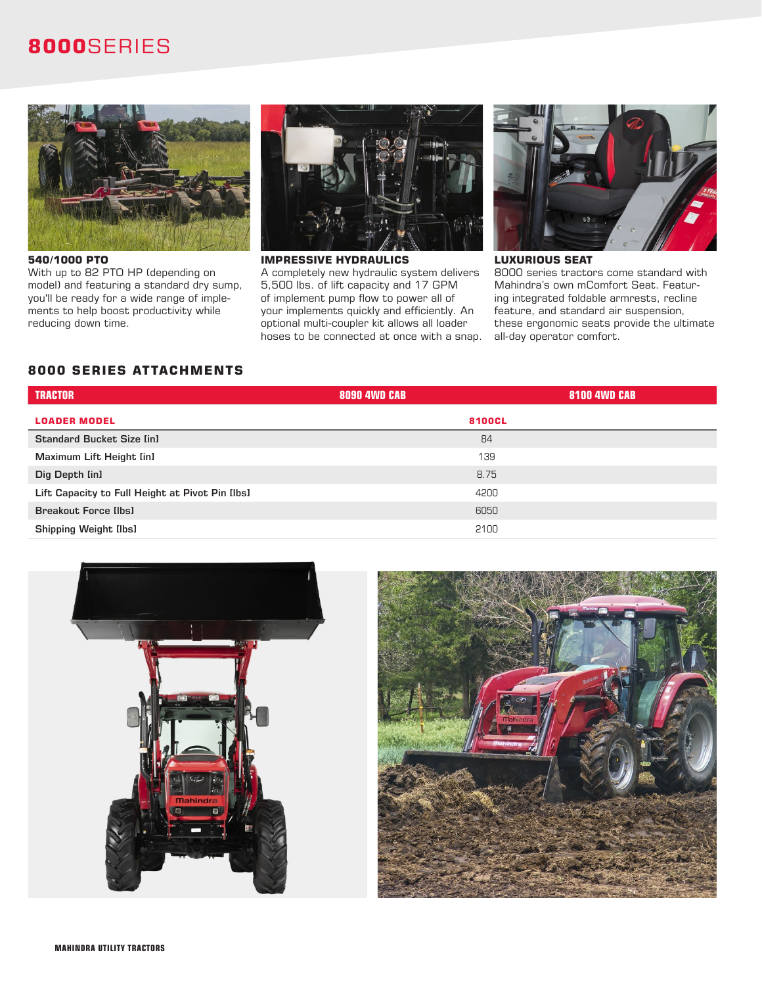## **8000**SERIES



With up to 82 PTO HP (depending on model) and featuring a standard dry sump, you'll be ready for a wide range of implements to help boost productivity while reducing down time.



A completely new hydraulic system delivers 5,500 lbs. of lift capacity and 17 GPM of implement pump flow to power all of your implements quickly and efficiently. An optional multi-coupler kit allows all loader hoses to be connected at once with a snap.



## **LUXURIOUS SEAT**

8000 series tractors come standard with Mahindra's own mComfort Seat. Featuring integrated foldable armrests, recline feature, and standard air suspension, these ergonomic seats provide the ultimate all-day operator comfort.

## **8000 SERIES ATTACHMENTS**

| <b>TRACTOR</b>                                  | <b>8090 4WD CAB</b><br><b>8100 4WD CAB</b> |
|-------------------------------------------------|--------------------------------------------|
| <b>LOADER MODEL</b>                             | 8100CL                                     |
| <b>Standard Bucket Size [in]</b>                | 84                                         |
| Maximum Lift Height [in]                        | 139                                        |
| Dig Depth [in]                                  | 8.75                                       |
| Lift Capacity to Full Height at Pivot Pin Ilbsl | 4200                                       |
| <b>Breakout Force [lbs]</b>                     | 6050                                       |
| <b>Shipping Weight Ilbsl</b>                    | 2100                                       |